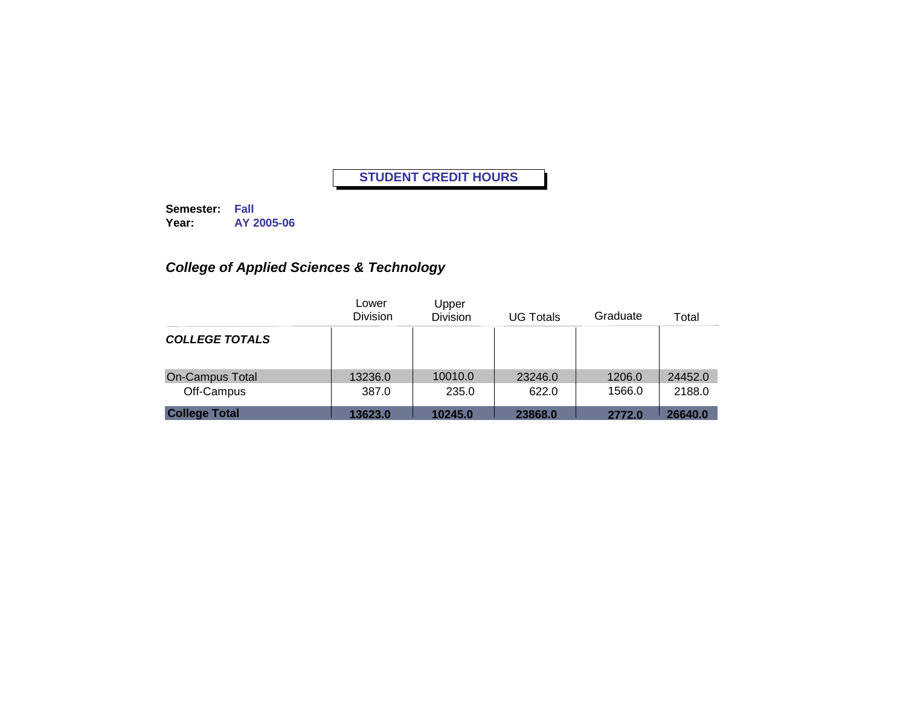**Semester: Fall Year: AY 2005-06**

## *College of Applied Sciences & Technology*

|                        | Lower<br><b>Division</b> | Upper<br><b>Division</b> | <b>UG Totals</b> | Graduate | Total   |
|------------------------|--------------------------|--------------------------|------------------|----------|---------|
| <b>COLLEGE TOTALS</b>  |                          |                          |                  |          |         |
| <b>On-Campus Total</b> | 13236.0                  | 10010.0                  | 23246.0          | 1206.0   | 24452.0 |
| Off-Campus             | 387.0                    | 235.0                    | 622.0            | 1566.0   | 2188.0  |
| <b>College Total</b>   | 13623.0                  | 10245.0                  | 23868.0          | 2772.0   | 26640.0 |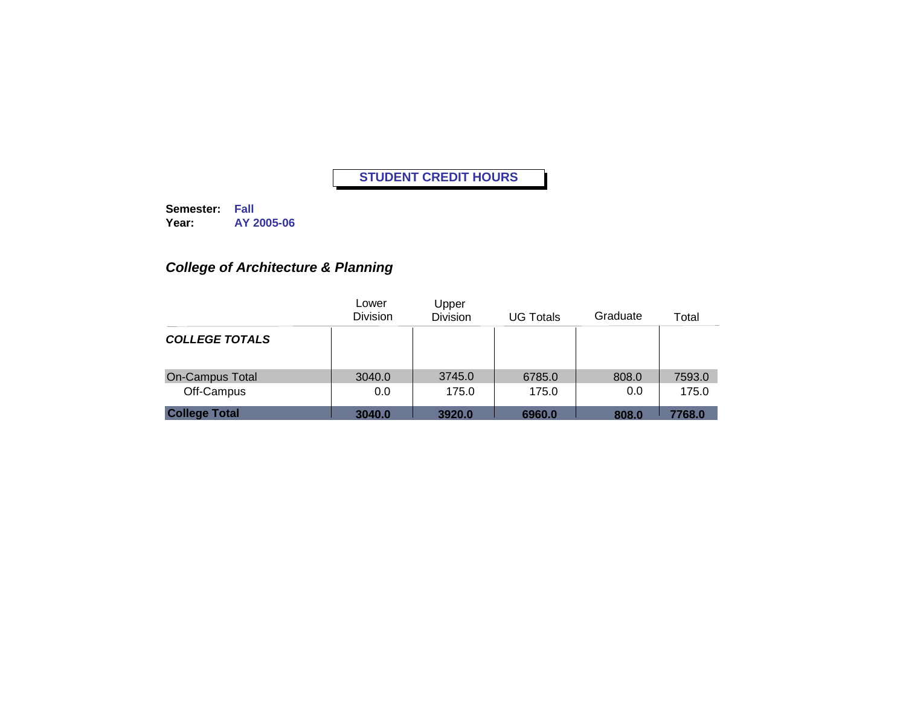**Semester: Fall Year: AY 2005-06**

# *College of Architecture & Planning*

|                        | Lower<br><b>Division</b> | Upper<br><b>Division</b> | <b>UG Totals</b> | Graduate | Total  |
|------------------------|--------------------------|--------------------------|------------------|----------|--------|
| <b>COLLEGE TOTALS</b>  |                          |                          |                  |          |        |
| <b>On-Campus Total</b> | 3040.0                   | 3745.0                   | 6785.0           | 808.0    | 7593.0 |
| Off-Campus             | 0.0                      | 175.0                    | 175.0            | 0.0      | 175.0  |
| <b>College Total</b>   | 3040.0                   | 3920.0                   | 6960.0           | 808.0    | 7768.0 |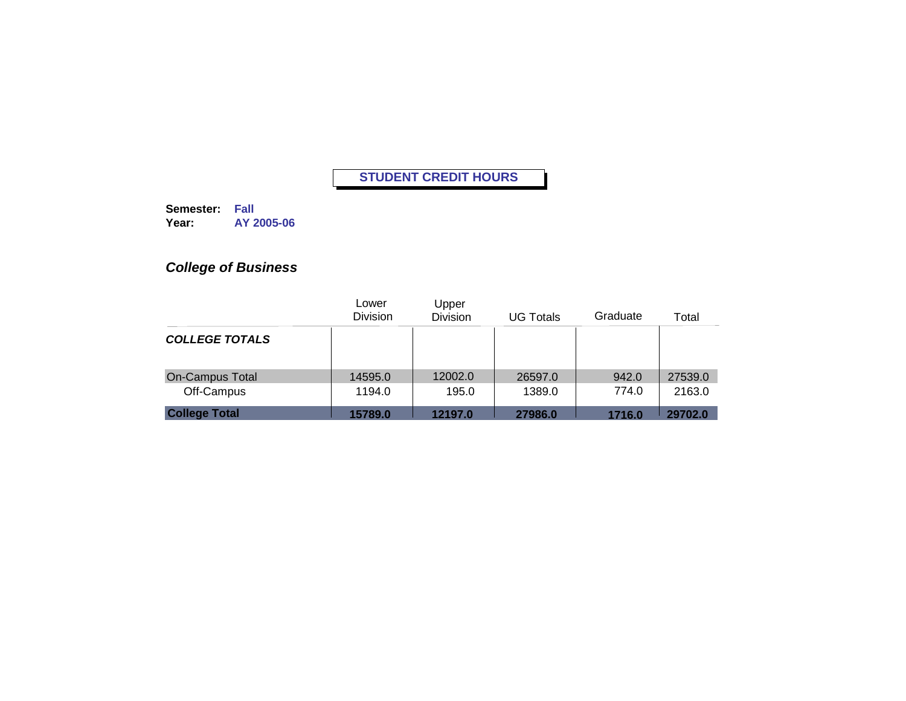**Semester: Fall Year: AY 2005-06**

# *College of Business*

|                        | Lower<br><b>Division</b> | Upper<br><b>Division</b> | <b>UG Totals</b> | Graduate | Total   |
|------------------------|--------------------------|--------------------------|------------------|----------|---------|
| <b>COLLEGE TOTALS</b>  |                          |                          |                  |          |         |
| <b>On-Campus Total</b> | 14595.0                  | 12002.0                  | 26597.0          | 942.0    | 27539.0 |
| Off-Campus             | 1194.0                   | 195.0                    | 1389.0           | 774.0    | 2163.0  |
| <b>College Total</b>   | 15789.0                  | 12197.0                  | 27986.0          | 1716.0   | 29702.0 |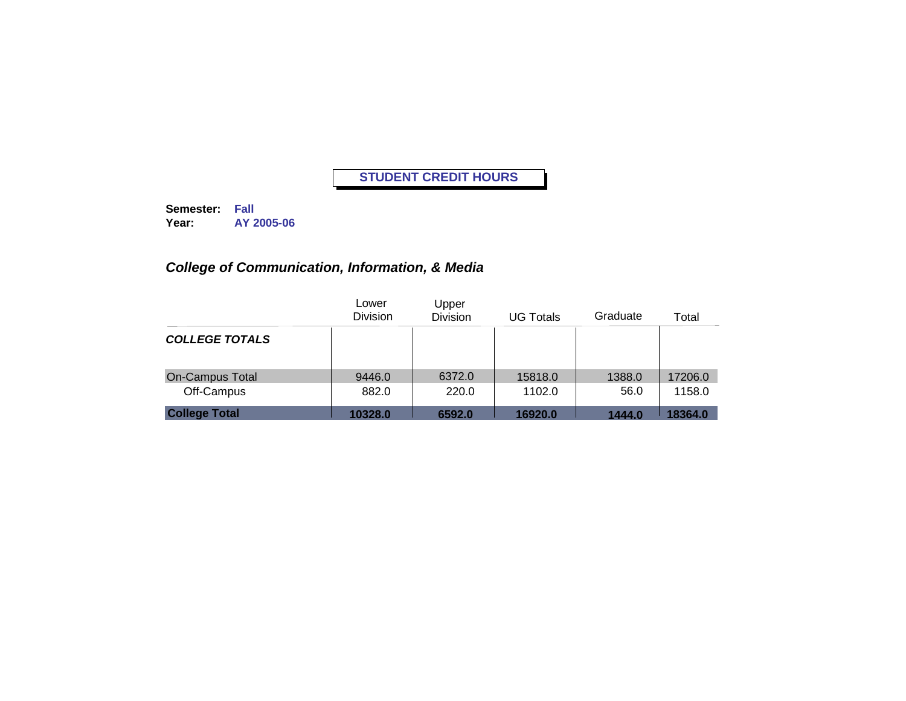**Semester: Fall Year: AY 2005-06**

## *College of Communication, Information, & Media*

|                        | Lower<br><b>Division</b> | Upper<br><b>Division</b> | <b>UG Totals</b> | Graduate | Total   |
|------------------------|--------------------------|--------------------------|------------------|----------|---------|
| <b>COLLEGE TOTALS</b>  |                          |                          |                  |          |         |
| <b>On-Campus Total</b> | 9446.0                   | 6372.0                   | 15818.0          | 1388.0   | 17206.0 |
| Off-Campus             | 882.0                    | 220.0                    | 1102.0           | 56.0     | 1158.0  |
| <b>College Total</b>   | 10328.0                  | 6592.0                   | 16920.0          | 1444.0   | 18364.0 |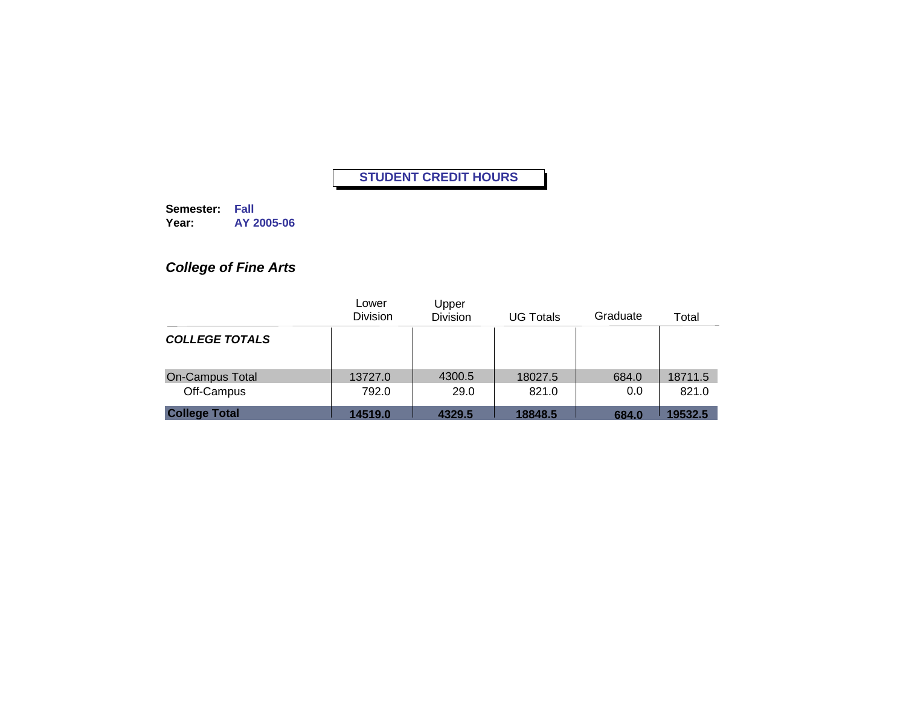**Semester: Fall Year: AY 2005-06**

# *College of Fine Arts*

|                        | Lower<br><b>Division</b> | Upper<br><b>Division</b> | <b>UG Totals</b> | Graduate | Total   |
|------------------------|--------------------------|--------------------------|------------------|----------|---------|
| <b>COLLEGE TOTALS</b>  |                          |                          |                  |          |         |
| <b>On-Campus Total</b> | 13727.0                  | 4300.5                   | 18027.5          | 684.0    | 18711.5 |
| Off-Campus             | 792.0                    | 29.0                     | 821.0            | 0.0      | 821.0   |
| <b>College Total</b>   | 14519.0                  | 4329.5                   | 18848.5          | 684.0    | 19532.5 |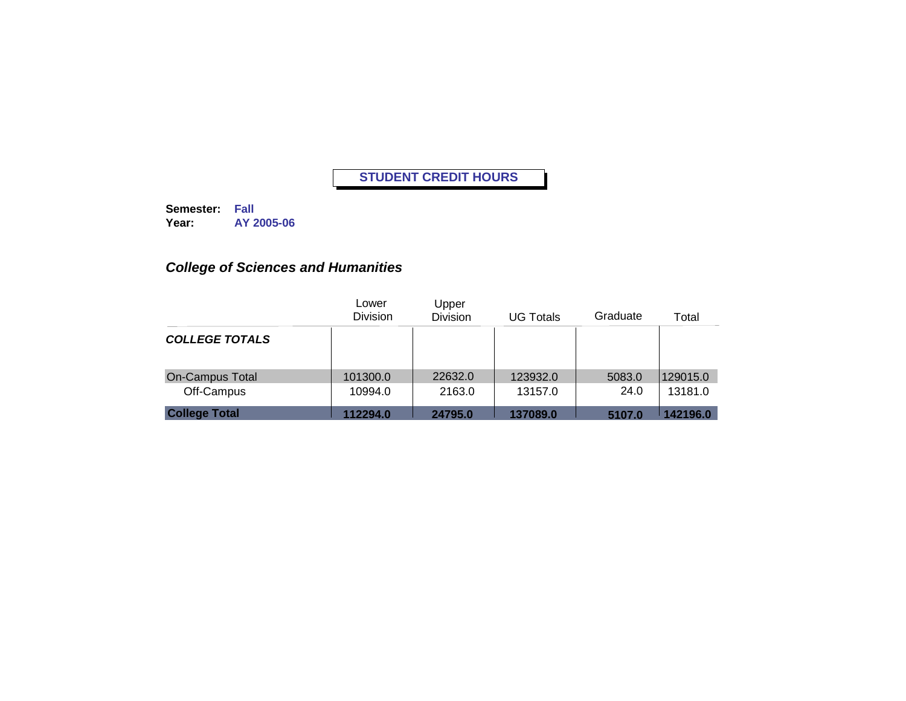**Semester: Fall Year: AY 2005-06**

## *College of Sciences and Humanities*

|                        | Lower<br><b>Division</b> | Upper<br><b>Division</b> | <b>UG Totals</b> | Graduate | Total    |
|------------------------|--------------------------|--------------------------|------------------|----------|----------|
| <b>COLLEGE TOTALS</b>  |                          |                          |                  |          |          |
| <b>On-Campus Total</b> | 101300.0                 | 22632.0                  | 123932.0         | 5083.0   | 129015.0 |
| Off-Campus             | 10994.0                  | 2163.0                   | 13157.0          | 24.0     | 13181.0  |
| <b>College Total</b>   | 112294.0                 | 24795.0                  | 137089.0         | 5107.0   | 142196.0 |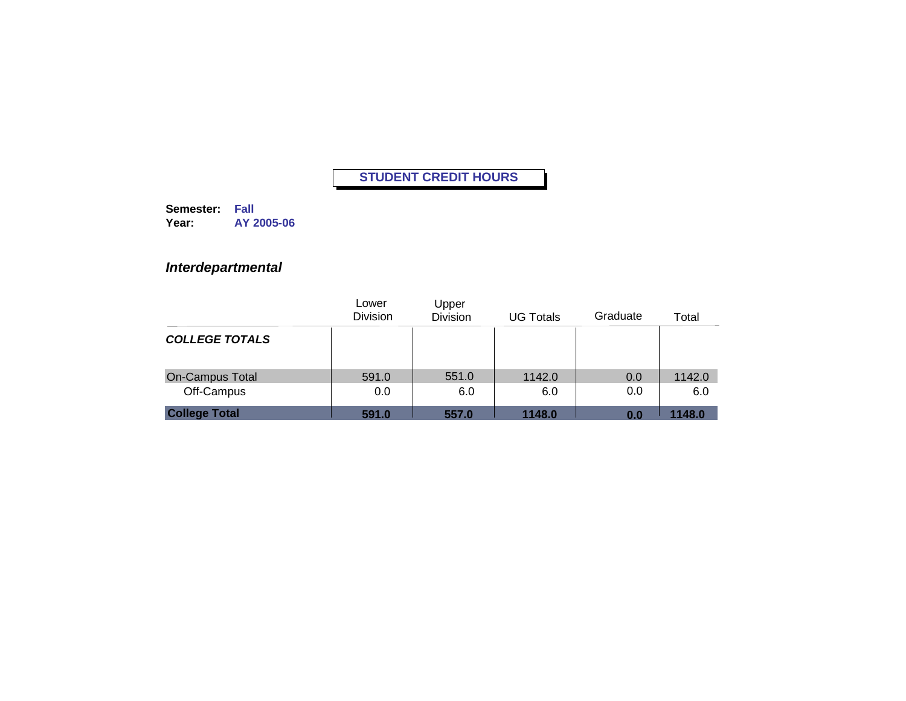**Semester: Fall Year: AY 2005-06**

### *Interdepartmental*

|                        | Lower<br><b>Division</b> | Upper<br><b>Division</b> | <b>UG Totals</b> | Graduate | Total  |
|------------------------|--------------------------|--------------------------|------------------|----------|--------|
| <b>COLLEGE TOTALS</b>  |                          |                          |                  |          |        |
| <b>On-Campus Total</b> | 591.0                    | 551.0                    | 1142.0           | 0.0      | 1142.0 |
| Off-Campus             | 0.0                      | 6.0                      | 6.0              | 0.0      | 6.0    |
| <b>College Total</b>   | 591.0                    | 557.0                    | 1148.0           | 0.0      | 1148.0 |